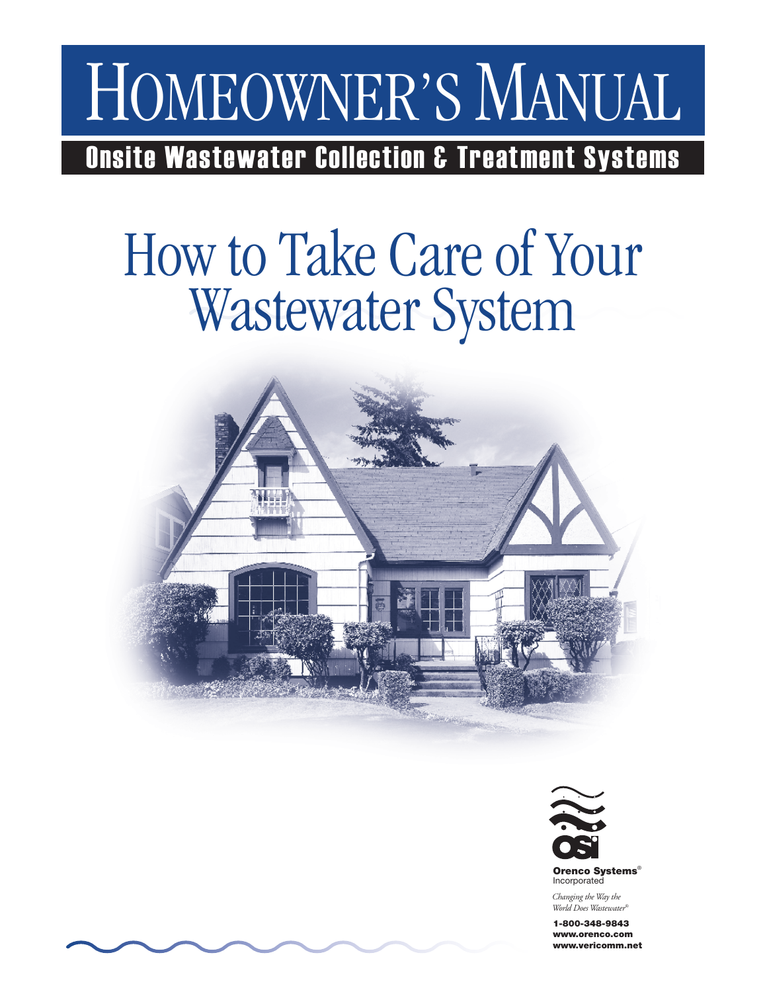# HOMEOWNER'S MANUAL

## Onsite Wastewater Collection & Treatment Systems

## How to Take Care of Your Wastewater System





Orenco Systems® Incorporated

*Changing the Way the World Does Wastewater®*

1-800-348-9843 www.orenco.com www.vericomm.net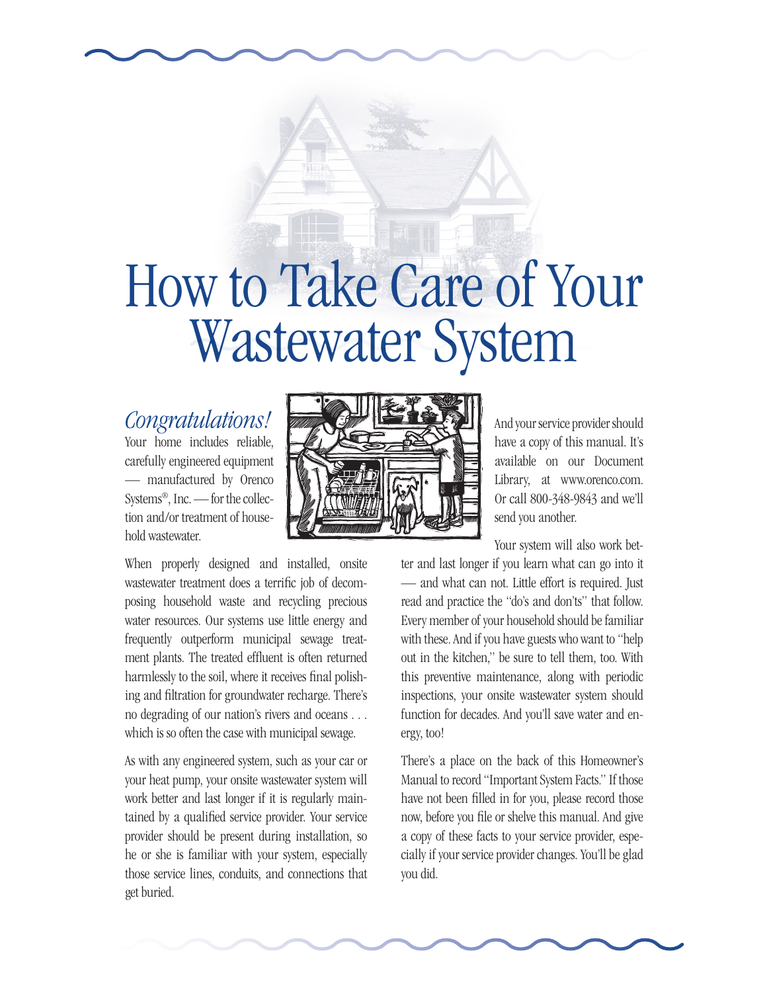## How to Take Care of Your Wastewater System

## *Congratulations!*

Your home includes reliable, carefully engineered equipment — manufactured by Orenco Systems®, Inc. — for the collection and/or treatment of household wastewater.

When properly designed and installed, onsite wastewater treatment does a terrific job of decomposing household waste and recycling precious water resources. Our systems use little energy and frequently outperform municipal sewage treatment plants. The treated effluent is often returned harmlessly to the soil, where it receives final polishing and filtration for groundwater recharge. There's no degrading of our nation's rivers and oceans . . . which is so often the case with municipal sewage.

As with any engineered system, such as your car or your heat pump, your onsite wastewater system will work better and last longer if it is regularly maintained by a qualified service provider. Your service provider should be present during installation, so he or she is familiar with your system, especially those service lines, conduits, and connections that get buried.



And your service provider should have a copy of this manual. It's available on our Document Library, at www.orenco.com. Or call 800-348-9843 and we'll send you another.

Your system will also work bet-

ter and last longer if you learn what can go into it — and what can not. Little effort is required. Just read and practice the "do's and don'ts" that follow. Every member of your household should be familiar with these. And if you have guests who want to "help out in the kitchen," be sure to tell them, too. With this preventive maintenance, along with periodic inspections, your onsite wastewater system should function for decades. And you'll save water and energy, too!

There's a place on the back of this Homeowner's Manual to record "Important System Facts." If those have not been filled in for you, please record those now, before you file or shelve this manual. And give a copy of these facts to your service provider, especially if your service provider changes. You'll be glad you did.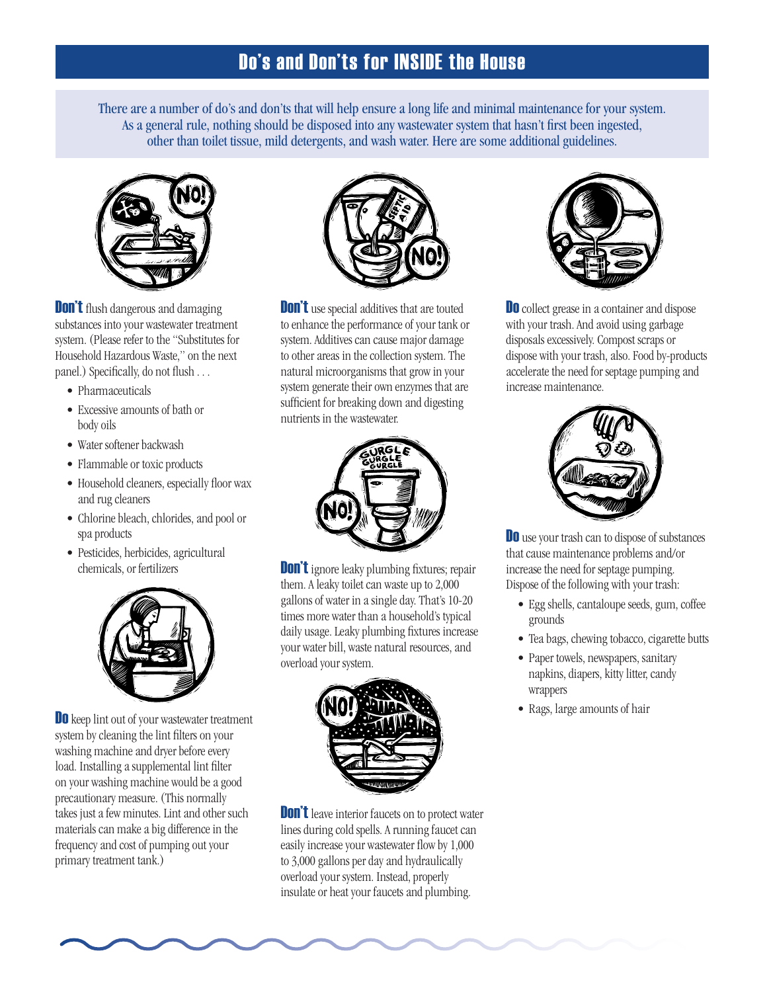## Do's and Don'ts for INSIDE the House

There are a number of do's and don'ts that will help ensure a long life and minimal maintenance for your system. As a general rule, nothing should be disposed into any wastewater system that hasn't first been ingested, other than toilet tissue, mild detergents, and wash water. Here are some additional guidelines.



**Don't** flush dangerous and damaging substances into your wastewater treatment system. (Please refer to the "Substitutes for Household Hazardous Waste," on the next panel.) Specifically, do not flush . . .

- Pharmaceuticals
- Excessive amounts of bath or body oils
- Water softener backwash
- Flammable or toxic products
- Household cleaners, especially floor wax and rug cleaners
- Chlorine bleach, chlorides, and pool or spa products
- Pesticides, herbicides, agricultural chemicals, or fertilizers



**Do** keep lint out of your wastewater treatment system by cleaning the lint filters on your washing machine and dryer before every load. Installing a supplemental lint filter on your washing machine would be a good precautionary measure. (This normally takes just a few minutes. Lint and other such materials can make a big difference in the frequency and cost of pumping out your primary treatment tank.)



**Don't** use special additives that are touted to enhance the performance of your tank or system. Additives can cause major damage to other areas in the collection system. The natural microorganisms that grow in your system generate their own enzymes that are sufficient for breaking down and digesting nutrients in the wastewater.



**Don't** ignore leaky plumbing fixtures; repair them. A leaky toilet can waste up to 2,000 gallons of water in a single day. That's 10-20 times more water than a household's typical daily usage. Leaky plumbing fixtures increase your water bill, waste natural resources, and overload your system.



**Don't** leave interior faucets on to protect water lines during cold spells. A running faucet can easily increase your wastewater flow by 1,000 to 3,000 gallons per day and hydraulically overload your system. Instead, properly insulate or heat your faucets and plumbing.



**Do** collect grease in a container and dispose with your trash. And avoid using garbage disposals excessively. Compost scraps or dispose with your trash, also. Food by-products accelerate the need for septage pumping and increase maintenance.



Do use your trash can to dispose of substances that cause maintenance problems and/or increase the need for septage pumping. Dispose of the following with your trash:

- Egg shells, cantaloupe seeds, gum, coffee grounds
- Tea bags, chewing tobacco, cigarette butts
- Paper towels, newspapers, sanitary napkins, diapers, kitty litter, candy wrappers
- Rags, large amounts of hair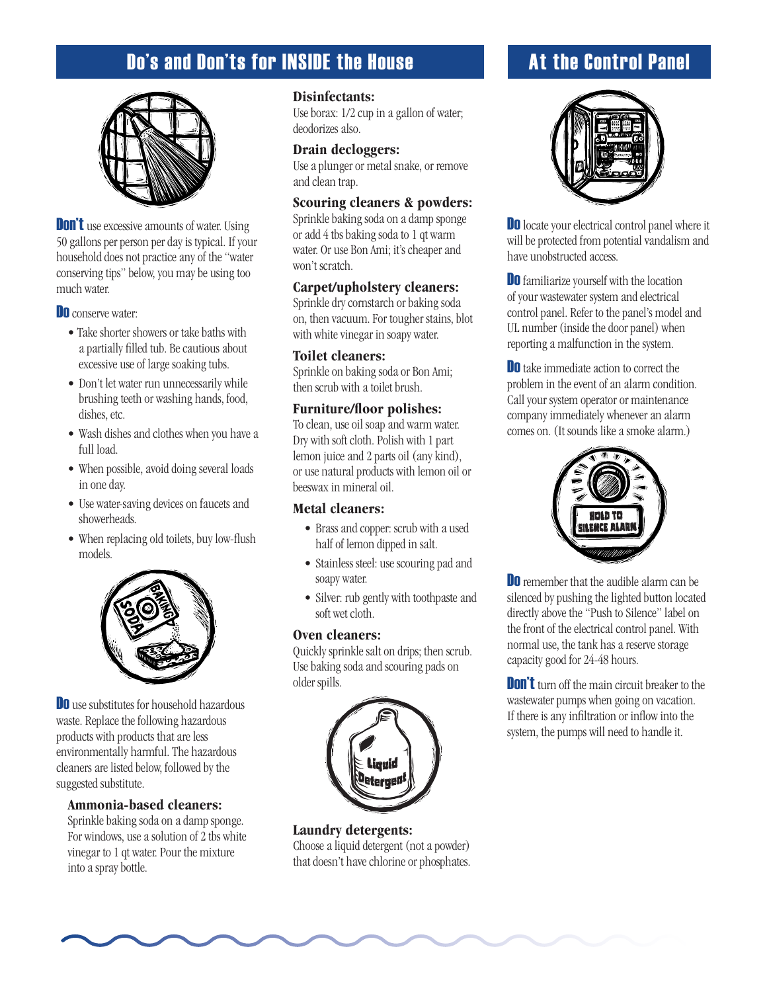## Do's and Don'ts for INSIDE the House At the Control Panel



**Don't** use excessive amounts of water. Using 50 gallons per person per day is typical. If your household does not practice any of the "water conserving tips" below, you may be using too much water.

#### Do conserve water:

- Take shorter showers or take baths with a partially filled tub. Be cautious about excessive use of large soaking tubs.
- Don't let water run unnecessarily while brushing teeth or washing hands, food, dishes, etc.
- Wash dishes and clothes when you have a full load.
- When possible, avoid doing several loads in one day.
- Use water-saving devices on faucets and showerheads.
- When replacing old toilets, buy low-flush models.



**Do** use substitutes for household hazardous waste. Replace the following hazardous products with products that are less environmentally harmful. The hazardous cleaners are listed below, followed by the suggested substitute.

#### **Ammonia-based cleaners:**

Sprinkle baking soda on a damp sponge. For windows, use a solution of 2 tbs white vinegar to 1 qt water. Pour the mixture into a spray bottle.

#### **Disinfectants:**

Use borax: 1/2 cup in a gallon of water; deodorizes also.

#### **Drain decloggers:**

Use a plunger or metal snake, or remove and clean trap.

#### **Scouring cleaners & powders:**

Sprinkle baking soda on a damp sponge or add 4 tbs baking soda to 1 qt warm water. Or use Bon Ami; it's cheaper and won't scratch.

#### **Carpet/upholstery cleaners:**

Sprinkle dry cornstarch or baking soda on, then vacuum. For tougher stains, blot with white vinegar in soapy water.

#### **Toilet cleaners:**

Sprinkle on baking soda or Bon Ami; then scrub with a toilet brush.

#### **Furniture/floor polishes:**

To clean, use oil soap and warm water. Dry with soft cloth. Polish with 1 part lemon juice and 2 parts oil (any kind), or use natural products with lemon oil or beeswax in mineral oil.

#### **Metal cleaners:**

- Brass and copper: scrub with a used half of lemon dipped in salt.
- Stainless steel: use scouring pad and soapy water.
- Silver: rub gently with toothpaste and soft wet cloth.

#### **Oven cleaners:**

Quickly sprinkle salt on drips; then scrub. Use baking soda and scouring pads on older spills.



#### **Laundry detergents:**

Choose a liquid detergent (not a powder) that doesn't have chlorine or phosphates.



**Do** locate your electrical control panel where it will be protected from potential vandalism and have unobstructed access.

**DO** familiarize yourself with the location of your wastewater system and electrical control panel. Refer to the panel's model and UL number (inside the door panel) when reporting a malfunction in the system.

**Do** take immediate action to correct the problem in the event of an alarm condition. Call your system operator or maintenance company immediately whenever an alarm comes on. (It sounds like a smoke alarm.)



**Do** remember that the audible alarm can be silenced by pushing the lighted button located directly above the "Push to Silence" label on the front of the electrical control panel. With normal use, the tank has a reserve storage capacity good for 24-48 hours.

**Don't** turn off the main circuit breaker to the wastewater pumps when going on vacation. If there is any infiltration or inflow into the system, the pumps will need to handle it.

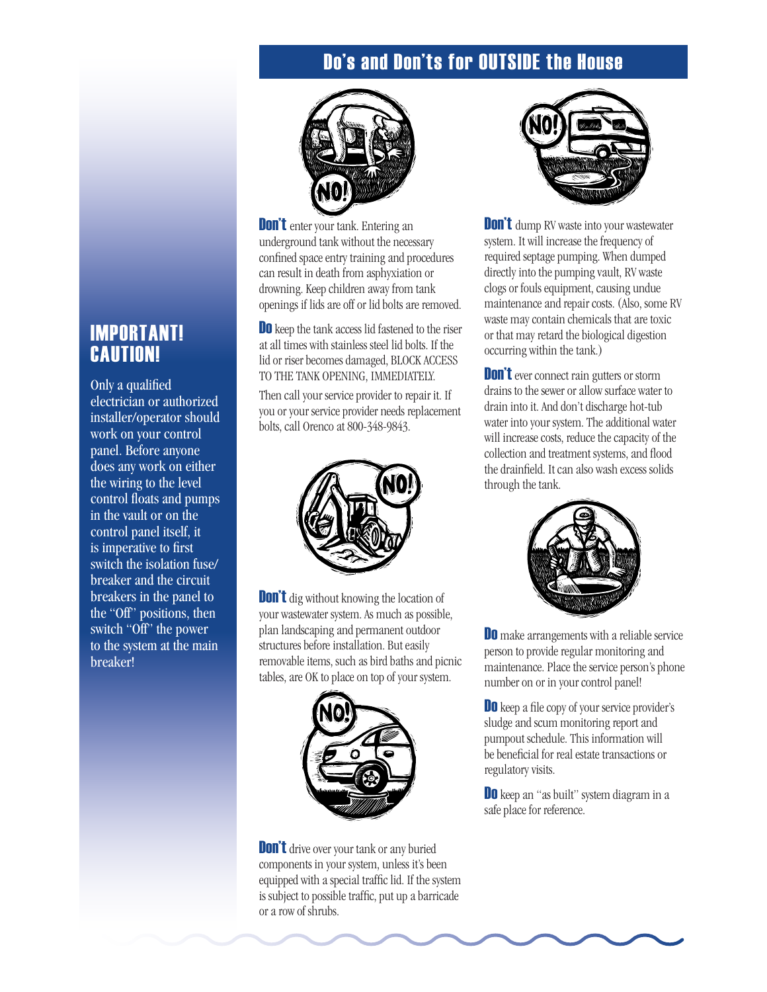## Do's and Don'ts for OUTSIDE the House



**Don't** enter your tank. Entering an underground tank without the necessary confined space entry training and procedures can result in death from asphyxiation or drowning. Keep children away from tank openings if lids are off or lid bolts are removed.

Do keep the tank access lid fastened to the riser at all times with stainless steel lid bolts. If the lid or riser becomes damaged, BLOCK ACCESS TO THE TANK OPENING, IMMEDIATELY.

Then call your service provider to repair it. If you or your service provider needs replacement bolts, call Orenco at 800-348-9843.



**Don't** dig without knowing the location of your wastewater system. As much as possible, plan landscaping and permanent outdoor structures before installation. But easily removable items, such as bird baths and picnic tables, are OK to place on top of your system.



**Don't** drive over your tank or any buried components in your system, unless it's been equipped with a special traffic lid. If the system is subject to possible traffic, put up a barricade or a row of shrubs.



**Don't** dump RV waste into your wastewater system. It will increase the frequency of required septage pumping. When dumped directly into the pumping vault, RV waste clogs or fouls equipment, causing undue maintenance and repair costs. (Also, some RV waste may contain chemicals that are toxic or that may retard the biological digestion occurring within the tank.)

**Don't** ever connect rain gutters or storm drains to the sewer or allow surface water to drain into it. And don't discharge hot-tub water into your system. The additional water will increase costs, reduce the capacity of the collection and treatment systems, and flood the drainfield. It can also wash excess solids through the tank.



**Do** make arrangements with a reliable service person to provide regular monitoring and maintenance. Place the service person's phone number on or in your control panel!

Do keep a file copy of your service provider's sludge and scum monitoring report and pumpout schedule. This information will be beneficial for real estate transactions or regulatory visits.

Do keep an "as built" system diagram in a safe place for reference.

### Important! Caution!

Only a qualified electrician or authorized installer/operator should work on your control panel. Before anyone does any work on either the wiring to the level control floats and pumps in the vault or on the control panel itself, it is imperative to first switch the isolation fuse/ breaker and the circuit breakers in the panel to the "Off" positions, then switch "Off" the power to the system at the main breaker!